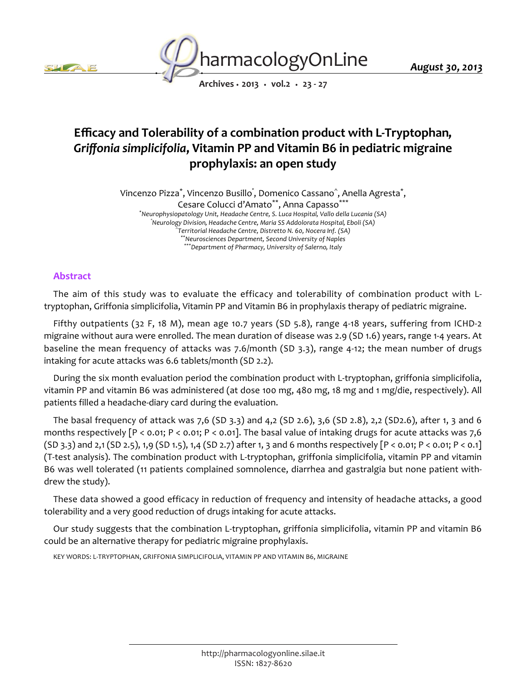



*Archives • 2013 • vol.2 • 23 - 27*

# *Efficacy and Tolerability of a combination product with L-Tryptophan, Griffonia simplicifolia, Vitamin PP and Vitamin B6 in pediatric migraine prophylaxis: an open study*

*Vincenzo Pizza\* , Vincenzo Busillo° , Domenico Cassano^ , Anella Agresta\* ,*

*Cesare Colucci d'Amato\*\*, Anna Capasso\*\*\**

*\*Neurophysiopatology Unit, Headache Centre, S. Luca Hospital, Vallo della Lucania (SA) °Neurology Division, Headache Centre, Maria SS Addolorata Hospital, Eboli (SA) ^ Territorial Headache Centre, Distretto N. 60, Nocera Inf. (SA) \*\*Neurosciences Department, Second University of Naples \*\*\*Department of Pharmacy, University of Salerno, Italy*

## *Abstract*

*The aim of this study was to evaluate the efficacy and tolerability of combination product with Ltryptophan, Griffonia simplicifolia, Vitamin PP and Vitamin B6 in prophylaxis therapy of pediatric migraine.*

*Fifthy outpatients (32 F, 18 M), mean age 10.7 years (SD 5.8), range 4-18 years, suffering from ICHD-2 migraine without aura were enrolled. The mean duration of disease was 2.9 (SD 1.6) years, range 1-4 years. At baseline the mean frequency of attacks was 7.6/month (SD 3.3), range 4-12; the mean number of drugs intaking for acute attacks was 6.6 tablets/month (SD 2.2).*

*During the six month evaluation period the combination product with L-tryptophan, griffonia simplicifolia, vitamin PP and vitamin B6 was administered (at dose 100 mg, 480 mg, 18 mg and 1 mg/die, respectively). All patients filled a headache-diary card during the evaluation.*

*The basal frequency of attack was 7,6 (SD 3.3) and 4,2 (SD 2.6), 3,6 (SD 2.8), 2,2 (SD2.6), after 1, 3 and 6 months respectively [P < 0.01; P < 0.01; P < 0.01]. The basal value of intaking drugs for acute attacks was 7,6 (SD 3.3) and 2,1 (SD 2.5), 1,9 (SD 1.5), 1,4 (SD 2.7) after 1, 3 and 6 months respectively [P < 0.01; P < 0.01; P < 0.1] (T-test analysis). The combination product with L-tryptophan, griffonia simplicifolia, vitamin PP and vitamin B6 was well tolerated (11 patients complained somnolence, diarrhea and gastralgia but none patient withdrew the study).*

*These data showed a good efficacy in reduction of frequency and intensity of headache attacks, a good tolerability and a very good reduction of drugs intaking for acute attacks.*

*Our study suggests that the combination L-tryptophan, griffonia simplicifolia, vitamin PP and vitamin B6 could be an alternative therapy for pediatric migraine prophylaxis.*

*KEY WORDS: L-TRYPTOPHAN, GRIFFONIA SIMPLICIFOLIA, VITAMIN PP AND VITAMIN B6, MIGRAINE*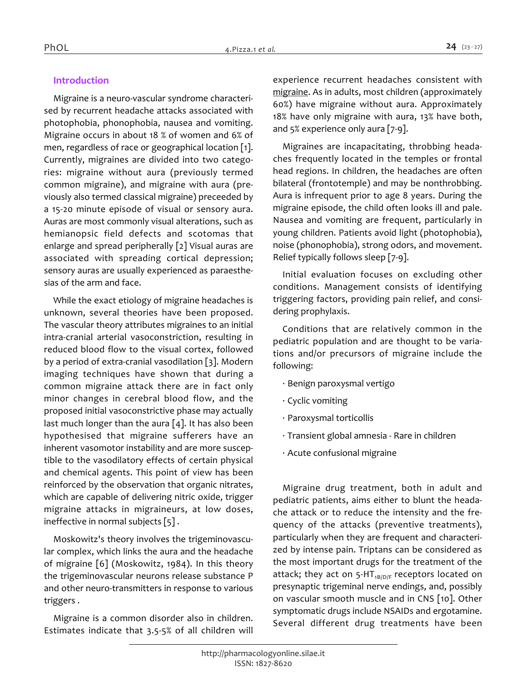### *Introduction*

*Migraine is a neuro-vascular syndrome characterised by recurrent headache attacks associated with photophobia, phonophobia, nausea and vomiting. Migraine occurs in about 18 % of women and 6% of men, regardless of race or geographical location [1]. Currently, migraines are divided into two categories: migraine without aura (previously termed common migraine), and migraine with aura (previously also termed classical migraine) preceeded by a 15-20 minute episode of visual or sensory aura. Auras are most commonly visual alterations, such as hemianopsic field defects and scotomas that enlarge and spread peripherally [2] Visual auras are associated with spreading cortical depression; sensory auras are usually experienced as paraesthesias of the arm and face.*

*While the exact etiology of migraine headaches is unknown, several theories have been proposed. The vascular theory attributes migraines to an initial intra-cranial arterial vasoconstriction, resulting in reduced blood flow to the visual cortex, followed by a period of extra-cranial vasodilation [3]. Modern imaging techniques have shown that during a common migraine attack there are in fact only minor changes in cerebral blood flow, and the proposed initial vasoconstrictive phase may actually last much longer than the aura [4]. It has also been hypothesised that migraine sufferers have an inherent vasomotor instability and are more susceptible to the vasodilatory effects of certain physical and chemical agents. This point of view has been reinforced by the observation that organic nitrates, which are capable of delivering nitric oxide, trigger migraine attacks in migraineurs, at low doses, ineffective in normal subjects [5] .*

*Moskowitz's theory involves the trigeminovascular complex, which links the aura and the headache of migraine [6] (Moskowitz, 1984). In this theory the trigeminovascular neurons release substance P and other neuro-transmitters in response to various triggers .*

*Migraine is a common disorder also in children. Estimates indicate that 3.5-5% of all children will* 

*experience recurrent headaches consistent with migraine. As in adults, most children (approximately 60%) have migraine without aura. Approximately 18% have only migraine with aura, 13% have both, and 5% experience only aura [7-9].*

*Migraines are incapacitating, throbbing headaches frequently located in the temples or frontal head regions. In children, the headaches are often bilateral (frontotemple) and may be nonthrobbing. Aura is infrequent prior to age 8 years. During the migraine episode, the child often looks ill and pale. Nausea and vomiting are frequent, particularly in young children. Patients avoid light (photophobia), noise (phonophobia), strong odors, and movement. Relief typically follows sleep [7-9].*

*Initial evaluation focuses on excluding other conditions. Management consists of identifying triggering factors, providing pain relief, and considering prophylaxis.*

*Conditions that are relatively common in the pediatric population and are thought to be variations and/or precursors of migraine include the following:*

- *· Benign paroxysmal vertigo*
- *· Cyclic vomiting*
- *· Paroxysmal torticollis*
- *· Transient global amnesia Rare in children*
- *· Acute confusional migraine*

*Migraine drug treatment, both in adult and pediatric patients, aims either to blunt the headache attack or to reduce the intensity and the frequency of the attacks (preventive treatments), particularly when they are frequent and characterized by intense pain. Triptans can be considered as the most important drugs for the treatment of the attack; they act on 5-HT1B/D/F receptors located on presynaptic trigeminal nerve endings, and, possibly on vascular smooth muscle and in CNS [10]. Other symptomatic drugs include NSAIDs and ergotamine. Several different drug treatments have been*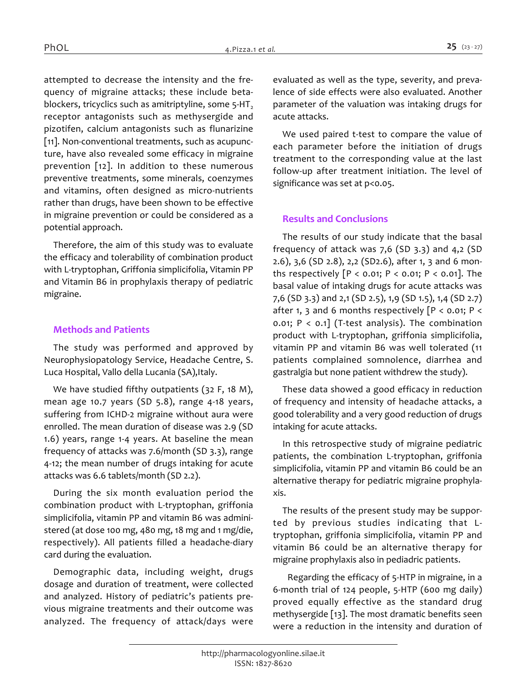*attempted to decrease the intensity and the frequency of migraine attacks; these include betablockers, tricyclics such as amitriptyline, some 5-HT<sup>2</sup> receptor antagonists such as methysergide and pizotifen, calcium antagonists such as flunarizine [11]. Non-conventional treatments, such as acupuncture, have also revealed some efficacy in migraine prevention [12]. In addition to these numerous preventive treatments, some minerals, coenzymes and vitamins, often designed as micro-nutrients rather than drugs, have been shown to be effective in migraine prevention or could be considered as a potential approach.*

*Therefore, the aim of this study was to evaluate the efficacy and tolerability of combination product with L-tryptophan, Griffonia simplicifolia, Vitamin PP and Vitamin B6 in prophylaxis therapy of pediatric migraine.*

#### *Methods and Patients*

*The study was performed and approved by Neurophysiopatology Service, Headache Centre, S. Luca Hospital, Vallo della Lucania (SA),Italy.*

*We have studied fifthy outpatients (32 F, 18 M), mean age 10.7 years (SD 5.8), range 4-18 years, suffering from ICHD-2 migraine without aura were enrolled. The mean duration of disease was 2.9 (SD 1.6) years, range 1-4 years. At baseline the mean frequency of attacks was 7.6/month (SD 3.3), range 4-12; the mean number of drugs intaking for acute attacks was 6.6 tablets/month (SD 2.2).*

*During the six month evaluation period the combination product with L-tryptophan, griffonia simplicifolia, vitamin PP and vitamin B6 was administered (at dose 100 mg, 480 mg, 18 mg and 1 mg/die, respectively). All patients filled a headache-diary card during the evaluation.*

*Demographic data, including weight, drugs dosage and duration of treatment, were collected and analyzed. History of pediatric's patients previous migraine treatments and their outcome was analyzed. The frequency of attack/days were*  *evaluated as well as the type, severity, and prevalence of side effects were also evaluated. Another parameter of the valuation was intaking drugs for acute attacks.*

*We used paired t-test to compare the value of each parameter before the initiation of drugs treatment to the corresponding value at the last follow-up after treatment initiation. The level of significance was set at p<0.05.*

#### *Results and Conclusions*

*The results of our study indicate that the basal frequency of attack was 7,6 (SD 3.3) and 4,2 (SD 2.6), 3,6 (SD 2.8), 2,2 (SD2.6), after 1, 3 and 6 months respectively [P < 0.01; P < 0.01; P < 0.01]. The basal value of intaking drugs for acute attacks was 7,6 (SD 3.3) and 2,1 (SD 2.5), 1,9 (SD 1.5), 1,4 (SD 2.7) after 1, 3 and 6 months respectively [P < 0.01; P < 0.01; P < 0.1] (T-test analysis). The combination product with L-tryptophan, griffonia simplicifolia, vitamin PP and vitamin B6 was well tolerated (11 patients complained somnolence, diarrhea and gastralgia but none patient withdrew the study).*

*These data showed a good efficacy in reduction of frequency and intensity of headache attacks, a good tolerability and a very good reduction of drugs intaking for acute attacks.*

*In this retrospective study of migraine pediatric patients, the combination L-tryptophan, griffonia simplicifolia, vitamin PP and vitamin B6 could be an alternative therapy for pediatric migraine prophylaxis.*

*The results of the present study may be supported by previous studies indicating that Ltryptophan, griffonia simplicifolia, vitamin PP and vitamin B6 could be an alternative therapy for migraine prophylaxis also in pediadric patients.*

*Regarding the efficacy of 5-HTP in migraine, in a 6-month trial of 124 people, 5-HTP (600 mg daily) proved equally effective as the standard drug methysergide [13]. The most dramatic benefits seen were a reduction in the intensity and duration of*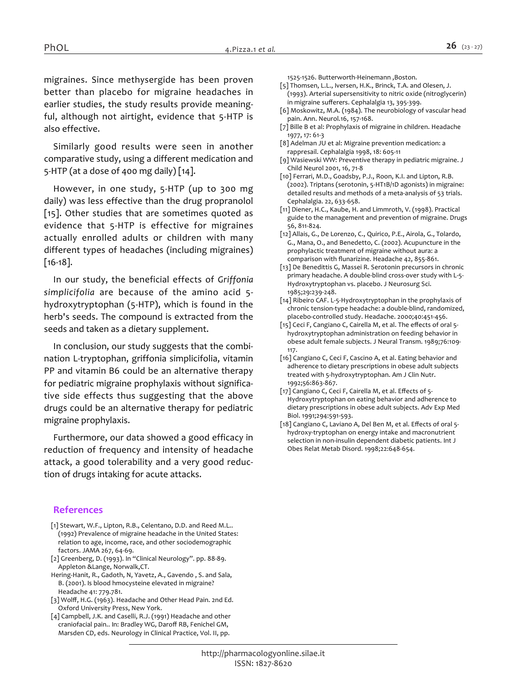*migraines. Since methysergide has been proven better than placebo for migraine headaches in earlier studies, the study results provide meaningful, although not airtight, evidence that 5-HTP is also effective.*

*Similarly good results were seen in another comparative study, using a different medication and 5-HTP (at a dose of 400 mg daily) [14].*

*However, in one study, 5-HTP (up to 300 mg daily) was less effective than the drug propranolol [15]. Other studies that are sometimes quoted as evidence that 5-HTP is effective for migraines actually enrolled adults or children with many different types of headaches (including migraines) [16-18].*

*In our study, the beneficial effects of Griffonia simplicifolia are because of the amino acid 5 hydroxytryptophan (5-HTP), which is found in the herb's seeds. The compound is extracted from the seeds and taken as a dietary supplement.*

*In conclusion, our study suggests that the combination L-tryptophan, griffonia simplicifolia, vitamin PP and vitamin B6 could be an alternative therapy for pediatric migraine prophylaxis without significative side effects thus suggesting that the above drugs could be an alternative therapy for pediatric migraine prophylaxis.*

*Furthermore, our data showed a good efficacy in reduction of frequency and intensity of headache attack, a good tolerability and a very good reduction of drugs intaking for acute attacks.*

#### *References*

- *[1] Stewart, W.F., Lipton, R.B., Celentano, D.D. and Reed M.L.. (1992) Prevalence of migraine headache in the United States: relation to age, income, race, and other sociodemographic factors. JAMA 267, 64-69.*
- *[2] Greenberg, D. (1993). In "Clinical Neurology". pp. 88-89. Appleton &Lange, Norwalk,CT.*
- *Hering-Hanit, R., Gadoth, N, Yavetz, A., Gavendo , S. and Sala, B. (2001). Is blood hmocysteine elevated in migraine? Headache 41: 779.781.*
- *[3] Wolff, H.G. (1963). Headache and Other Head Pain. 2nd Ed. Oxford University Press, New York.*
- *[4] Campbell, J.K. and Caselli, R.J. (1991) Headache and other craniofacial pain.. In: Bradley WG, Daroff RB, Fenichel GM, Marsden CD, eds. Neurology in Clinical Practice, Vol. II, pp.*

*1525-1526. Butterworth-Heinemann ,Boston.*

- *[5] Thomsen, L.L., Iversen, H.K., Brinck, T.A. and Olesen, J. (1993). Arterial supersensitivity to nitric oxide (nitroglycerin) in migraine sufferers. Cephalalgia 13, 395-399.*
- *[6] Moskowitz, M.A. (1984). The neurobiology of vascular head pain. Ann. Neurol.16, 157-168.*
- [7] Bille B et al: Prophylaxis of migraine in children. Headache *1977, 17: 61-3*
- *[8] Adelman JU et al: Migraine prevention medication: a rappresail. Cephalalgia 1998, 18: 605-11*
- *[9] Wasiewski WW: Preventive therapy in pediatric migraine. J Child Neurol 2001, 16, 71-8*
- *[10] Ferrari, M.D., Goadsby, P.J., Roon, K.I. and Lipton, R.B. (2002). Triptans (serotonin, 5-HT1B/1D agonists) in migraine: detailed results and methods of a meta-analysis of 53 trials. Cephalalgia. 22, 633-658.*
- *[11] Diener, H.C., Kaube, H. and Limmroth, V. (1998). Practical guide to the management and prevention of migraine. Drugs 56, 811-824.*
- *[12] Allais, G., De Lorenzo, C., Quirico, P.E., Airola, G., Tolardo, G., Mana, O., and Benedetto, C. (2002). Acupuncture in the prophylactic treatment of migraine without aura: a comparison with flunarizine. Headache 42, 855-861.*
- *[13] De Benedittis G, Massei R. Serotonin precursors in chronic primary headache. A double-blind cross-over study with L-5- Hydroxytryptophan vs. placebo. J Neurosurg Sci. 1985;29:239-248.*
- *[14] Ribeiro CAF. L-5-Hydroxytryptophan in the prophylaxis of chronic tension-type headache: a double-blind, randomized, placebo-controlled study. Headache. 2000;40:451-456.*
- *[15] Ceci F, Cangiano C, Cairella M, et al. The effects of oral 5 hydroxytryptophan administration on feeding behavior in obese adult female subjects. J Neural Transm. 1989;76:109- 117.*
- *[16] Cangiano C, Ceci F, Cascino A, et al. Eating behavior and adherence to dietary prescriptions in obese adult subjects treated with 5-hydroxytryptophan. Am J Clin Nutr. 1992;56:863-867.*
- *[17] Cangiano C, Ceci F, Cairella M, et al. Effects of 5- Hydroxytryptophan on eating behavior and adherence to dietary prescriptions in obese adult subjects. Adv Exp Med Biol. 1991;294:591-593.*
- *[18] Cangiano C, Laviano A, Del Ben M, et al. Effects of oral 5 hydroxy-tryptophan on energy intake and macronutrient selection in non-insulin dependent diabetic patients. Int J Obes Relat Metab Disord. 1998;22:648-654.*